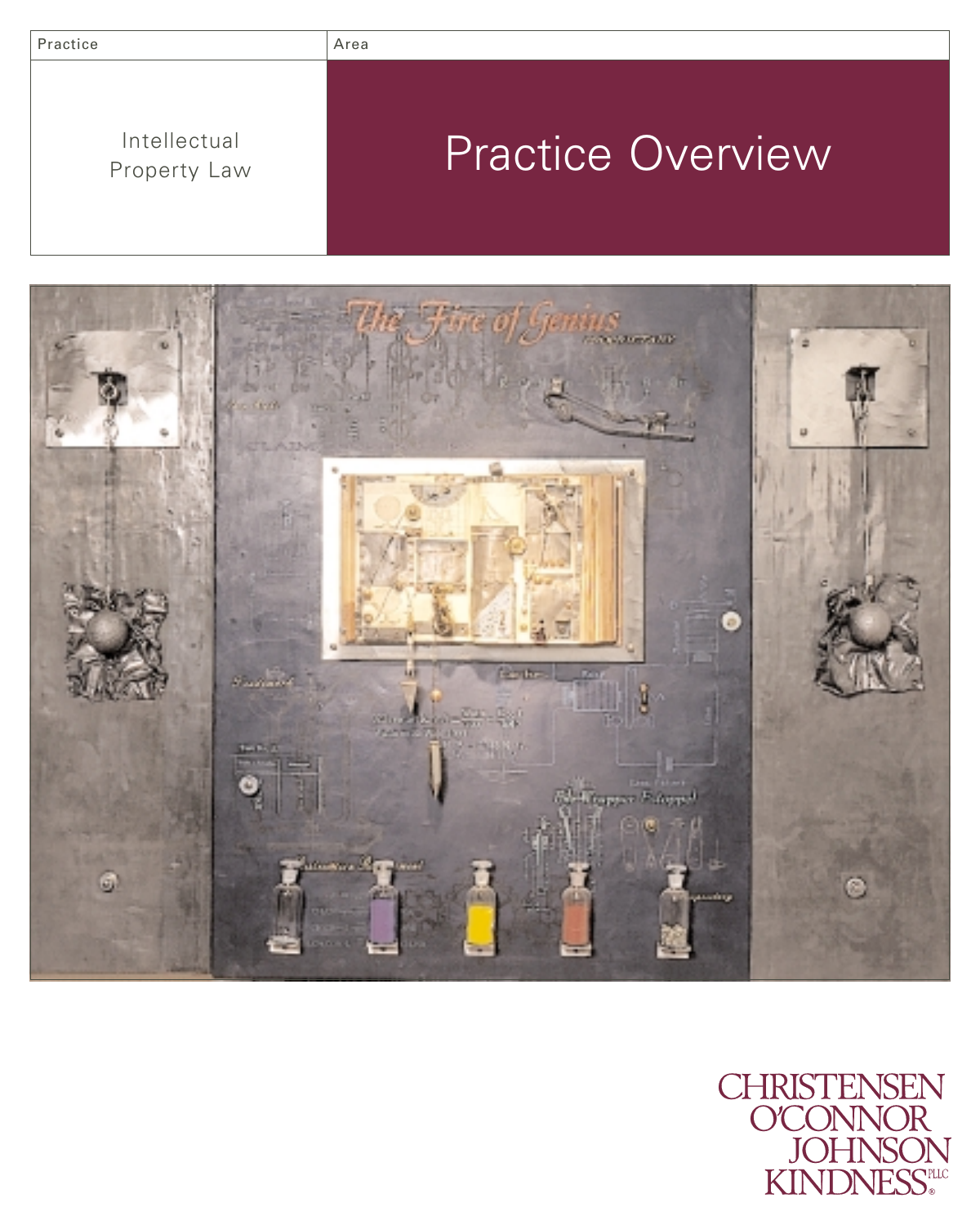| Practice                     | Area                     |
|------------------------------|--------------------------|
| Intellectual<br>Property Law | <b>Practice Overview</b> |



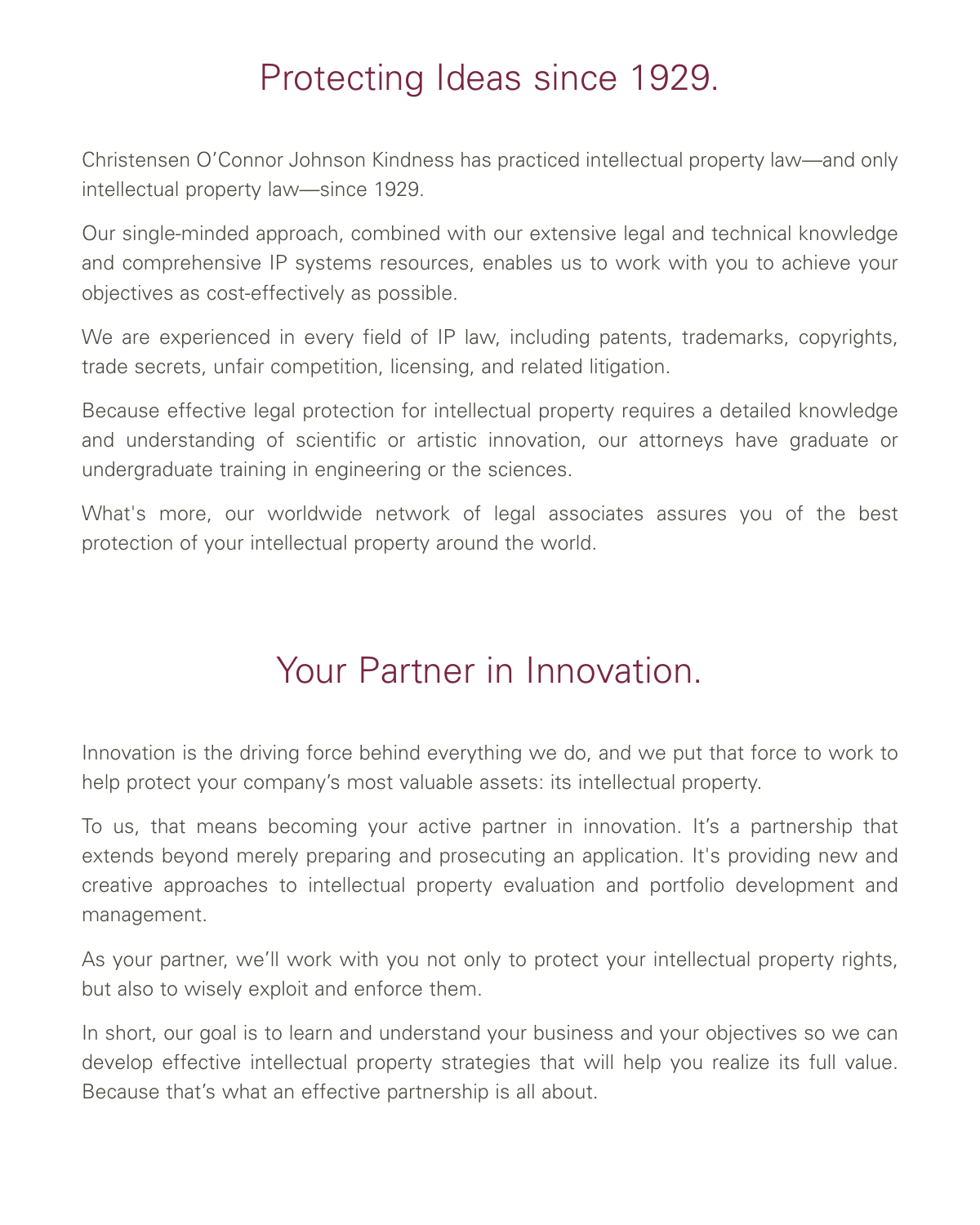## Protecting Ideas since 1929.

Christensen O'Connor Johnson Kindness has practiced intellectual property law—and only intellectual property law—since 1929.

Our single-minded approach, combined with our extensive legal and technical knowledge and comprehensive IP systems resources, enables us to work with you to achieve your objectives as cost-effectively as possible.

We are experienced in every field of IP law, including patents, trademarks, copyrights, trade secrets, unfair competition, licensing, and related litigation.

Because effective legal protection for intellectual property requires a detailed knowledge and understanding of scientific or artistic innovation, our attorneys have graduate or undergraduate training in engineering or the sciences.

What's more, our worldwide network of legal associates assures you of the best protection of your intellectual property around the world.

## Your Partner in Innovation.

Innovation is the driving force behind everything we do, and we put that force to work to help protect your company's most valuable assets: its intellectual property.

To us, that means becoming your active partner in innovation. It's a partnership that extends beyond merely preparing and prosecuting an application. It's providing new and creative approaches to intellectual property evaluation and portfolio development and management.

As your partner, we'll work with you not only to protect your intellectual property rights, but also to wisely exploit and enforce them.

In short, our goal is to learn and understand your business and your objectives so we can develop effective intellectual property strategies that will help you realize its full value. Because that's what an effective partnership is all about.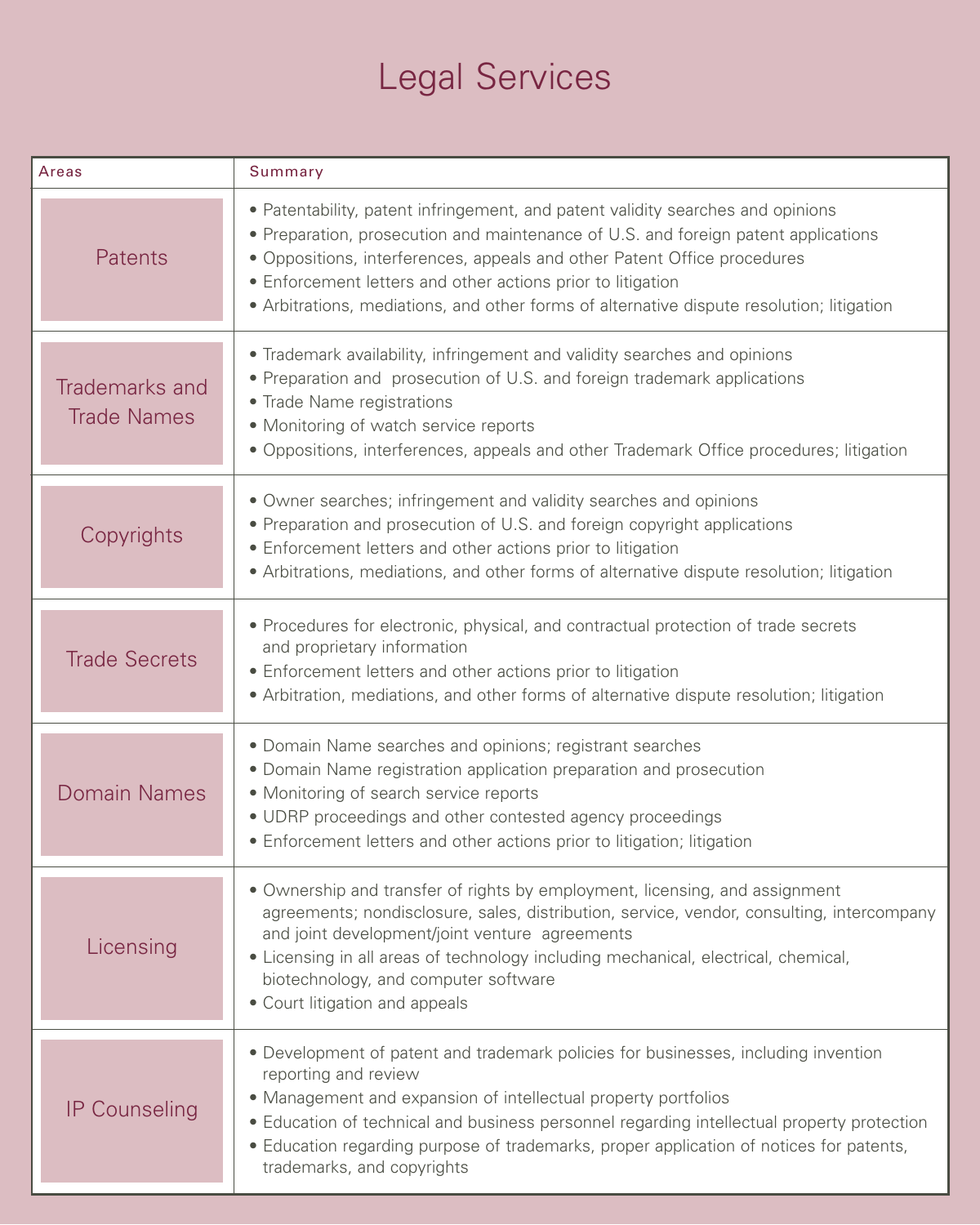## Legal Services

| Areas                                | Summary                                                                                                                                                                                                                                                                                                                                                                                                       |
|--------------------------------------|---------------------------------------------------------------------------------------------------------------------------------------------------------------------------------------------------------------------------------------------------------------------------------------------------------------------------------------------------------------------------------------------------------------|
| Patents                              | • Patentability, patent infringement, and patent validity searches and opinions<br>• Preparation, prosecution and maintenance of U.S. and foreign patent applications<br>· Oppositions, interferences, appeals and other Patent Office procedures<br>• Enforcement letters and other actions prior to litigation<br>• Arbitrations, mediations, and other forms of alternative dispute resolution; litigation |
| Trademarks and<br><b>Trade Names</b> | • Trademark availability, infringement and validity searches and opinions<br>• Preparation and prosecution of U.S. and foreign trademark applications<br>• Trade Name registrations<br>• Monitoring of watch service reports<br>· Oppositions, interferences, appeals and other Trademark Office procedures; litigation                                                                                       |
| Copyrights                           | • Owner searches; infringement and validity searches and opinions<br>• Preparation and prosecution of U.S. and foreign copyright applications<br>• Enforcement letters and other actions prior to litigation<br>• Arbitrations, mediations, and other forms of alternative dispute resolution; litigation                                                                                                     |
| <b>Trade Secrets</b>                 | • Procedures for electronic, physical, and contractual protection of trade secrets<br>and proprietary information<br>• Enforcement letters and other actions prior to litigation<br>• Arbitration, mediations, and other forms of alternative dispute resolution; litigation                                                                                                                                  |
| <b>Domain Names</b>                  | • Domain Name searches and opinions; registrant searches<br>• Domain Name registration application preparation and prosecution<br>• Monitoring of search service reports<br>• UDRP proceedings and other contested agency proceedings<br>• Enforcement letters and other actions prior to litigation; litigation                                                                                              |
| Licensing                            | • Ownership and transfer of rights by employment, licensing, and assignment<br>agreements; nondisclosure, sales, distribution, service, vendor, consulting, intercompany<br>and joint development/joint venture agreements<br>• Licensing in all areas of technology including mechanical, electrical, chemical,<br>biotechnology, and computer software<br>• Court litigation and appeals                    |
| <b>IP Counseling</b>                 | • Development of patent and trademark policies for businesses, including invention<br>reporting and review<br>• Management and expansion of intellectual property portfolios<br>• Education of technical and business personnel regarding intellectual property protection<br>• Education regarding purpose of trademarks, proper application of notices for patents,<br>trademarks, and copyrights           |